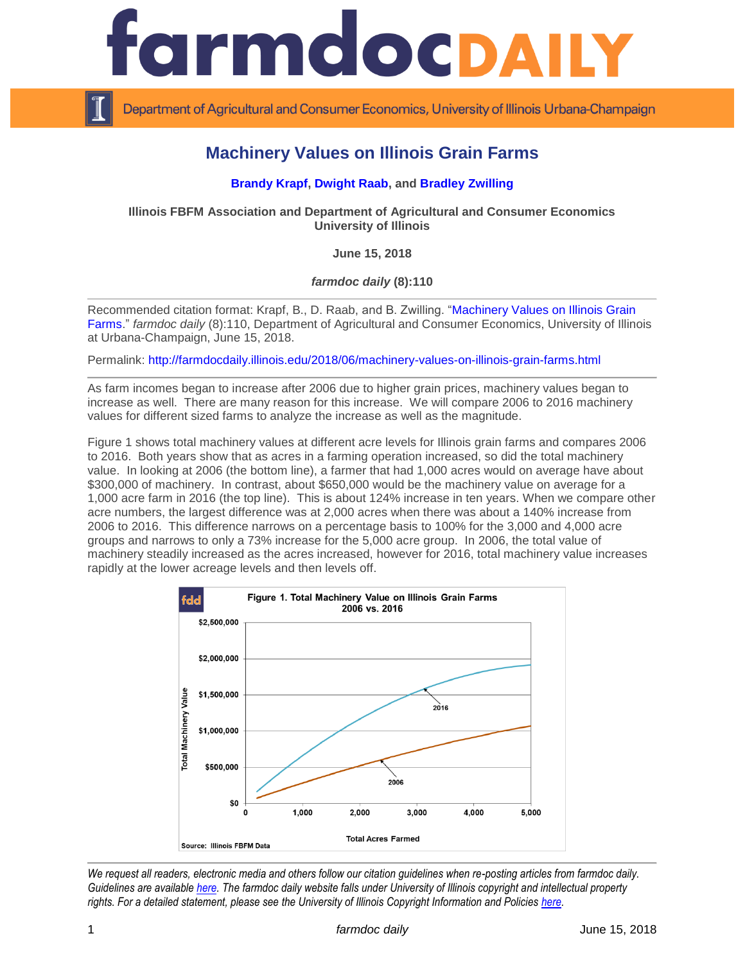

Department of Agricultural and Consumer Economics, University of Illinois Urbana-Champaign

## **Machinery Values on Illinois Grain Farms**

## **[Brandy Krapf, Dwight Raab,](http://fbfm.org/directory.asp) and [Bradley Zwilling](http://fbfm.org/directory.asp)**

**Illinois FBFM Association and Department of Agricultural and Consumer Economics University of Illinois**

**June 15, 2018**

*farmdoc daily* **(8):110**

Recommended citation format: Krapf, B., D. Raab, and B. Zwilling. ["Machinery Values on Illinois Grain](http://farmdocdaily.illinois.edu/2018/06/machinery-values-on-illinois-grain-farms.html)  [Farms.](http://farmdocdaily.illinois.edu/2018/06/machinery-values-on-illinois-grain-farms.html)" *farmdoc daily* (8):110, Department of Agricultural and Consumer Economics, University of Illinois at Urbana-Champaign, June 15, 2018.

Permalink:<http://farmdocdaily.illinois.edu/2018/06/machinery-values-on-illinois-grain-farms.html>

As farm incomes began to increase after 2006 due to higher grain prices, machinery values began to increase as well. There are many reason for this increase. We will compare 2006 to 2016 machinery values for different sized farms to analyze the increase as well as the magnitude.

Figure 1 shows total machinery values at different acre levels for Illinois grain farms and compares 2006 to 2016. Both years show that as acres in a farming operation increased, so did the total machinery value. In looking at 2006 (the bottom line), a farmer that had 1,000 acres would on average have about \$300,000 of machinery. In contrast, about \$650,000 would be the machinery value on average for a 1,000 acre farm in 2016 (the top line). This is about 124% increase in ten years. When we compare other acre numbers, the largest difference was at 2,000 acres when there was about a 140% increase from 2006 to 2016. This difference narrows on a percentage basis to 100% for the 3,000 and 4,000 acre groups and narrows to only a 73% increase for the 5,000 acre group. In 2006, the total value of machinery steadily increased as the acres increased, however for 2016, total machinery value increases rapidly at the lower acreage levels and then levels off.



*We request all readers, electronic media and others follow our citation guidelines when re-posting articles from farmdoc daily. Guidelines are available [here.](http://farmdocdaily.illinois.edu/citationguide.html) The farmdoc daily website falls under University of Illinois copyright and intellectual property rights. For a detailed statement, please see the University of Illinois Copyright Information and Policies [here.](http://www.cio.illinois.edu/policies/copyright/)*